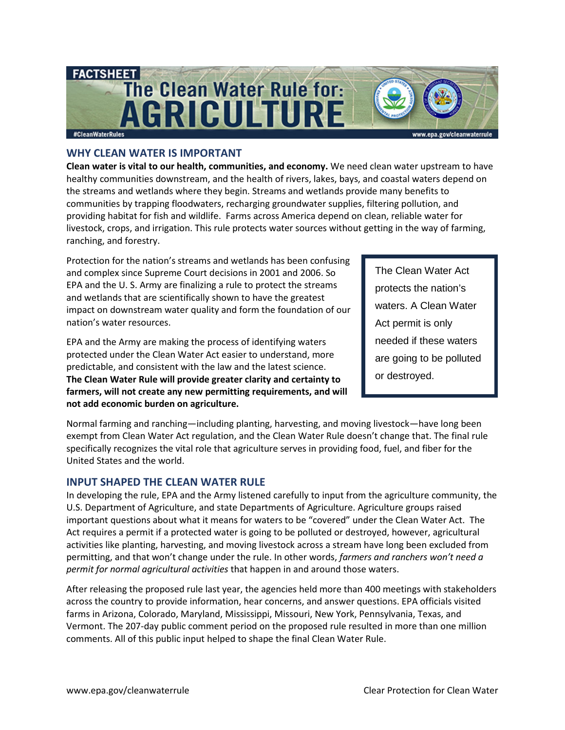

# **WHY CLEAN WATER IS IMPORTANT**

**Clean water is vital to our health, communities, and economy.** We need clean water upstream to have healthy communities downstream, and the health of rivers, lakes, bays, and coastal waters depend on the streams and wetlands where they begin. Streams and wetlands provide many benefits to communities by trapping floodwaters, recharging groundwater supplies, filtering pollution, and providing habitat for fish and wildlife. Farms across America depend on clean, reliable water for livestock, crops, and irrigation. This rule protects water sources without getting in the way of farming, ranching, and forestry.

Protection for the nation's streams and wetlands has been confusing and complex since Supreme Court decisions in 2001 and 2006. So EPA and the U. S. Army are finalizing a rule to protect the streams and wetlands that are scientifically shown to have the greatest impact on downstream water quality and form the foundation of our nation's water resources.

EPA and the Army are making the process of identifying waters protected under the Clean Water Act easier to understand, more predictable, and consistent with the law and the latest science. **The Clean Water Rule will provide greater clarity and certainty to farmers, will not create any new permitting requirements, and will not add economic burden on agriculture.**

The Clean Water Act protects the nation's waters. A Clean Water Act permit is only needed if these waters are going to be polluted or destroyed.

Normal farming and ranching—including planting, harvesting, and moving livestock—have long been exempt from Clean Water Act regulation, and the Clean Water Rule doesn't change that. The final rule specifically recognizes the vital role that agriculture serves in providing food, fuel, and fiber for the United States and the world.

### **INPUT SHAPED THE CLEAN WATER RULE**

In developing the rule, EPA and the Army listened carefully to input from the agriculture community, the U.S. Department of Agriculture, and state Departments of Agriculture. Agriculture groups raised important questions about what it means for waters to be "covered" under the Clean Water Act. The Act requires a permit if a protected water is going to be polluted or destroyed, however, agricultural activities like planting, harvesting, and moving livestock across a stream have long been excluded from permitting, and that won't change under the rule. In other words, *farmers and ranchers won't need a permit for normal agricultural activities* that happen in and around those waters.

After releasing the proposed rule last year, the agencies held more than 400 meetings with stakeholders across the country to provide information, hear concerns, and answer questions. EPA officials visited farms in Arizona, Colorado, Maryland, Mississippi, Missouri, New York, Pennsylvania, Texas, and Vermont. The 207-day public comment period on the proposed rule resulted in more than one million comments. All of this public input helped to shape the final Clean Water Rule.